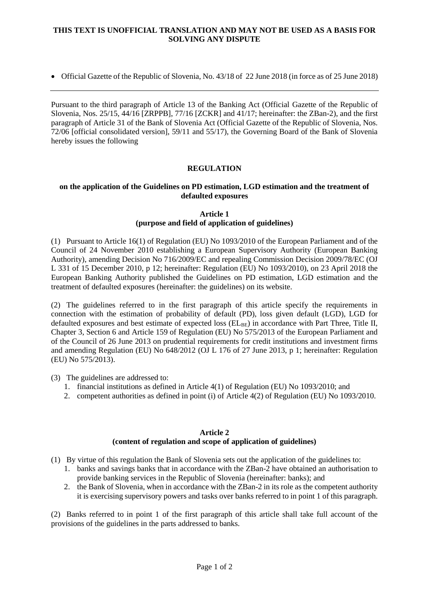## **THIS TEXT IS UNOFFICIAL TRANSLATION AND MAY NOT BE USED AS A BASIS FOR SOLVING ANY DISPUTE**

Official Gazette of the Republic of Slovenia, No. 43/18 of 22 June 2018 (in force as of 25 June 2018)

Pursuant to the third paragraph of Article 13 of the Banking Act (Official Gazette of the Republic of Slovenia, Nos. 25/15, 44/16 [ZRPPB], 77/16 [ZCKR] and 41/17; hereinafter: the ZBan-2), and the first paragraph of Article 31 of the Bank of Slovenia Act (Official Gazette of the Republic of Slovenia, Nos. 72/06 [official consolidated version], 59/11 and 55/17), the Governing Board of the Bank of Slovenia hereby issues the following

# **REGULATION**

## **on the application of the Guidelines on PD estimation, LGD estimation and the treatment of defaulted exposures**

#### **Article 1 (purpose and field of application of guidelines)**

(1) Pursuant to Article 16(1) of Regulation (EU) No 1093/2010 of the European Parliament and of the Council of 24 November 2010 establishing a European Supervisory Authority (European Banking Authority), amending Decision No 716/2009/EC and repealing Commission Decision 2009/78/EC (OJ L 331 of 15 December 2010, p 12; hereinafter: Regulation (EU) No 1093/2010), on 23 April 2018 the European Banking Authority published the Guidelines on PD estimation, LGD estimation and the treatment of defaulted exposures (hereinafter: the guidelines) on its website.

(2) The guidelines referred to in the first paragraph of this article specify the requirements in connection with the estimation of probability of default (PD), loss given default (LGD), LGD for defaulted exposures and best estimate of expected loss  $(EL_{BE})$  in accordance with Part Three, Title II, Chapter 3, Section 6 and Article 159 of Regulation (EU) No 575/2013 of the European Parliament and of the Council of 26 June 2013 on prudential requirements for credit institutions and investment firms and amending Regulation (EU) No 648/2012 (OJ L 176 of 27 June 2013, p 1; hereinafter: Regulation (EU) No 575/2013).

(3) The guidelines are addressed to:

- 1. financial institutions as defined in Article 4(1) of Regulation (EU) No 1093/2010; and
- 2. competent authorities as defined in point (i) of Article 4(2) of Regulation (EU) No 1093/2010.

# **Article 2**

#### **(content of regulation and scope of application of guidelines)**

- (1) By virtue of this regulation the Bank of Slovenia sets out the application of the guidelines to:
	- 1. banks and savings banks that in accordance with the ZBan-2 have obtained an authorisation to provide banking services in the Republic of Slovenia (hereinafter: banks); and
	- 2. the Bank of Slovenia, when in accordance with the ZBan-2 in its role as the competent authority it is exercising supervisory powers and tasks over banks referred to in point 1 of this paragraph.

(2) Banks referred to in point 1 of the first paragraph of this article shall take full account of the provisions of the guidelines in the parts addressed to banks.